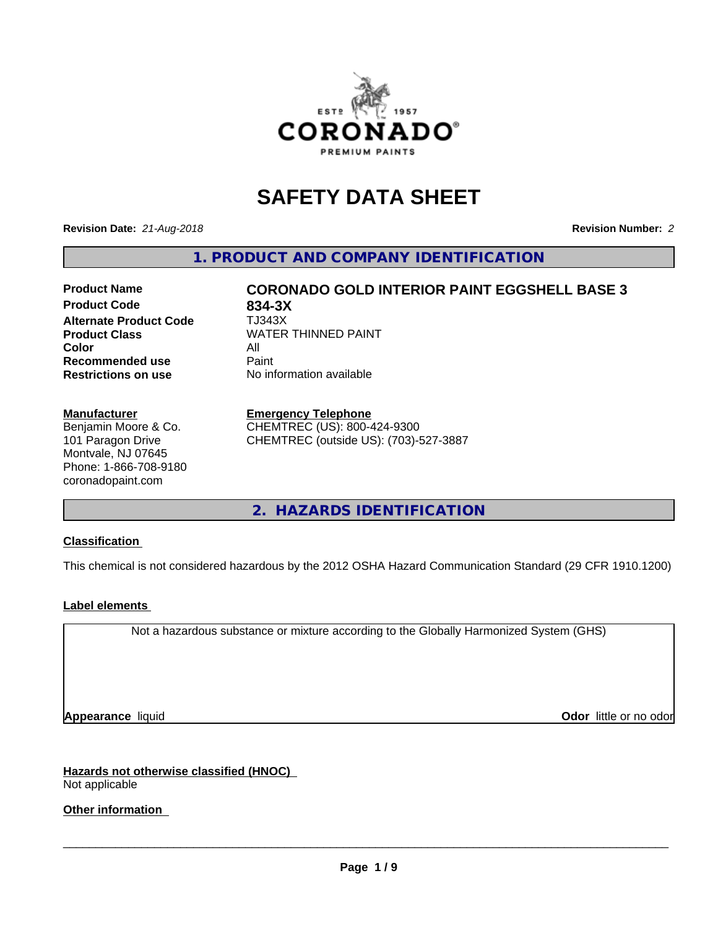

# **SAFETY DATA SHEET**

**Revision Date:** *21-Aug-2018* **Revision Number:** *2*

**1. PRODUCT AND COMPANY IDENTIFICATION**

# **Product Name CORONADO GOLD INTERIOR PAINT EGGSHELL BASE 3**

**Product Code 634-3X<br>
<b>Alternate Product Code** TJ343X **Alternate Product Code Color** All<br> **Recommended use** Paint **Recommended use Restrictions on use** No information available

**Product Class WATER THINNED PAINT** 

#### **Manufacturer**

Benjamin Moore & Co. 101 Paragon Drive Montvale, NJ 07645 Phone: 1-866-708-9180 coronadopaint.com

#### **Emergency Telephone**

CHEMTREC (US): 800-424-9300 CHEMTREC (outside US): (703)-527-3887

**2. HAZARDS IDENTIFICATION**

#### **Classification**

This chemical is not considered hazardous by the 2012 OSHA Hazard Communication Standard (29 CFR 1910.1200)

#### **Label elements**

Not a hazardous substance or mixture according to the Globally Harmonized System (GHS)

**Appearance** liquid **Contract Contract Contract Contract Contract Contract Contract Contract Contract Contract Contract Contract Contract Contract Contract Contract Contract Contract Contract Contract Contract Contract Con** 

**Hazards not otherwise classified (HNOC)** Not applicable

**Other information**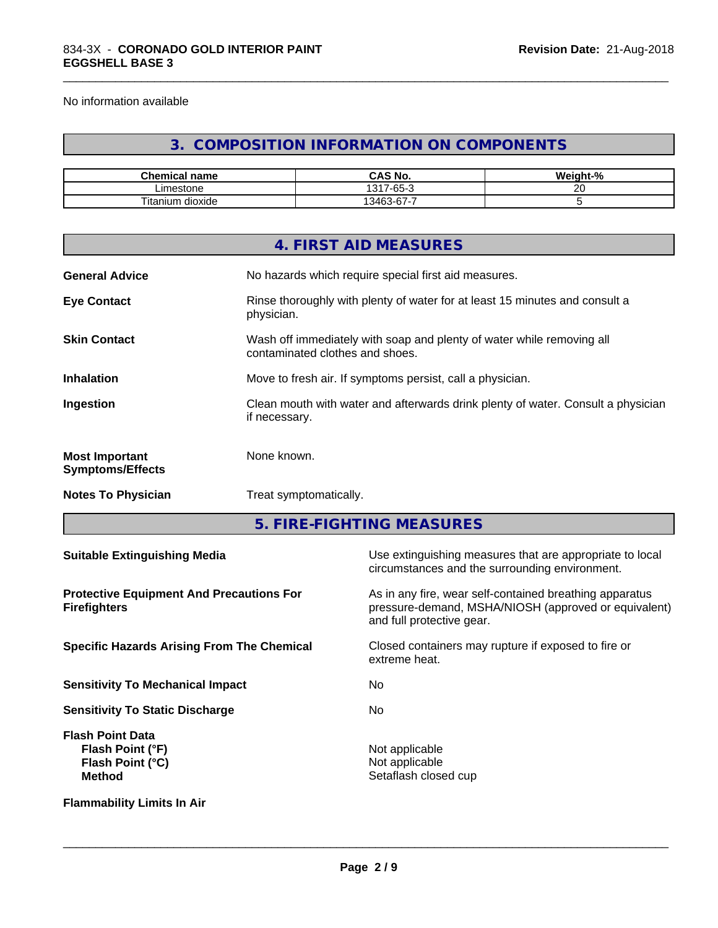No information available

# **3. COMPOSITION INFORMATION ON COMPONENTS**

\_\_\_\_\_\_\_\_\_\_\_\_\_\_\_\_\_\_\_\_\_\_\_\_\_\_\_\_\_\_\_\_\_\_\_\_\_\_\_\_\_\_\_\_\_\_\_\_\_\_\_\_\_\_\_\_\_\_\_\_\_\_\_\_\_\_\_\_\_\_\_\_\_\_\_\_\_\_\_\_\_\_\_\_\_\_\_\_\_\_\_\_\_

| <b>Chemical name</b>           | <b>CNL</b><br>$\mathbf{a}$<br>CAS No. | <br>$\overline{\phantom{a}}$<br>eiaht·<br>-70 |
|--------------------------------|---------------------------------------|-----------------------------------------------|
| ∟imestone                      | $\sim$<br>1317<br>-65-<br>. .         | $\sim$                                        |
| Titanium<br><br>. .<br>dioxide | $\sim$<br>--<br>13462<br>-07-د        |                                               |

|                                                  | 4. FIRST AID MEASURES                                                                                    |
|--------------------------------------------------|----------------------------------------------------------------------------------------------------------|
| <b>General Advice</b>                            | No hazards which require special first aid measures.                                                     |
| <b>Eye Contact</b>                               | Rinse thoroughly with plenty of water for at least 15 minutes and consult a<br>physician.                |
| <b>Skin Contact</b>                              | Wash off immediately with soap and plenty of water while removing all<br>contaminated clothes and shoes. |
| <b>Inhalation</b>                                | Move to fresh air. If symptoms persist, call a physician.                                                |
| Ingestion                                        | Clean mouth with water and afterwards drink plenty of water. Consult a physician<br>if necessary.        |
| <b>Most Important</b><br><b>Symptoms/Effects</b> | None known.                                                                                              |
| <b>Notes To Physician</b>                        | Treat symptomatically.                                                                                   |
|                                                  |                                                                                                          |

**5. FIRE-FIGHTING MEASURES**

| <b>Suitable Extinguishing Media</b>                                              | Use extinguishing measures that are appropriate to local<br>circumstances and the surrounding environment.                                   |
|----------------------------------------------------------------------------------|----------------------------------------------------------------------------------------------------------------------------------------------|
| <b>Protective Equipment And Precautions For</b><br><b>Firefighters</b>           | As in any fire, wear self-contained breathing apparatus<br>pressure-demand, MSHA/NIOSH (approved or equivalent)<br>and full protective gear. |
| <b>Specific Hazards Arising From The Chemical</b>                                | Closed containers may rupture if exposed to fire or<br>extreme heat.                                                                         |
| <b>Sensitivity To Mechanical Impact</b>                                          | No.                                                                                                                                          |
| <b>Sensitivity To Static Discharge</b>                                           | <b>No</b>                                                                                                                                    |
| <b>Flash Point Data</b><br>Flash Point (°F)<br>Flash Point (°C)<br><b>Method</b> | Not applicable<br>Not applicable<br>Setaflash closed cup                                                                                     |
| <b>Flammability Limits In Air</b>                                                |                                                                                                                                              |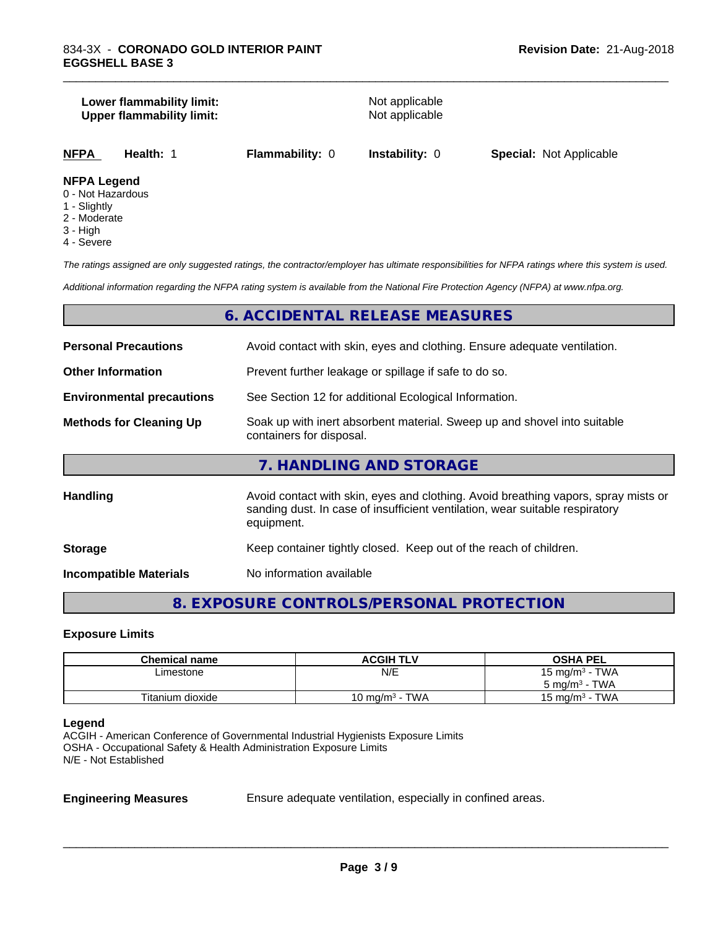#### **Lower flammability limit:**<br> **Upper flammability limit:**<br>
Upper flammability limit:<br>
Not applicable **Upper flammability limit:**

\_\_\_\_\_\_\_\_\_\_\_\_\_\_\_\_\_\_\_\_\_\_\_\_\_\_\_\_\_\_\_\_\_\_\_\_\_\_\_\_\_\_\_\_\_\_\_\_\_\_\_\_\_\_\_\_\_\_\_\_\_\_\_\_\_\_\_\_\_\_\_\_\_\_\_\_\_\_\_\_\_\_\_\_\_\_\_\_\_\_\_\_\_

| <b>NFPA</b> | Health: | <b>Flammability: 0</b> | <b>Instability: 0</b> | <b>Special: Not Applicable</b> |  |
|-------------|---------|------------------------|-----------------------|--------------------------------|--|
|             |         |                        |                       |                                |  |

# **NFPA Legend**

- 0 Not Hazardous
- 1 Slightly
- 2 Moderate
- 3 High
- 4 Severe

*The ratings assigned are only suggested ratings, the contractor/employer has ultimate responsibilities for NFPA ratings where this system is used.*

*Additional information regarding the NFPA rating system is available from the National Fire Protection Agency (NFPA) at www.nfpa.org.*

# **6. ACCIDENTAL RELEASE MEASURES**

| <b>Personal Precautions</b>      | Avoid contact with skin, eyes and clothing. Ensure adequate ventilation.                                                                                                         |  |
|----------------------------------|----------------------------------------------------------------------------------------------------------------------------------------------------------------------------------|--|
| <b>Other Information</b>         | Prevent further leakage or spillage if safe to do so.                                                                                                                            |  |
| <b>Environmental precautions</b> | See Section 12 for additional Ecological Information.                                                                                                                            |  |
| <b>Methods for Cleaning Up</b>   | Soak up with inert absorbent material. Sweep up and shovel into suitable<br>containers for disposal.                                                                             |  |
|                                  | 7. HANDLING AND STORAGE                                                                                                                                                          |  |
| <b>Handling</b>                  | Avoid contact with skin, eyes and clothing. Avoid breathing vapors, spray mists or<br>sanding dust. In case of insufficient ventilation, wear suitable respiratory<br>equipment. |  |
| <b>Storage</b>                   | Keep container tightly closed. Keep out of the reach of children.                                                                                                                |  |
| <b>Incompatible Materials</b>    | No information available                                                                                                                                                         |  |

# **8. EXPOSURE CONTROLS/PERSONAL PROTECTION**

#### **Exposure Limits**

| <b>Chemical name</b> | <b>ACGIH TLV</b>  | <b>OSHA PEL</b>                        |
|----------------------|-------------------|----------------------------------------|
| ∟imestone            | N/E               | 15 mg/m $3$ - TWA                      |
|                      |                   | $5 \text{ ma/m}^3$ - TWA               |
| Titanium dioxide     | 10 mg/m $3$ - TWA | <b>TWA</b><br>15 mg/m <sup>3</sup> - . |

#### **Legend**

ACGIH - American Conference of Governmental Industrial Hygienists Exposure Limits OSHA - Occupational Safety & Health Administration Exposure Limits N/E - Not Established

**Engineering Measures** Ensure adequate ventilation, especially in confined areas.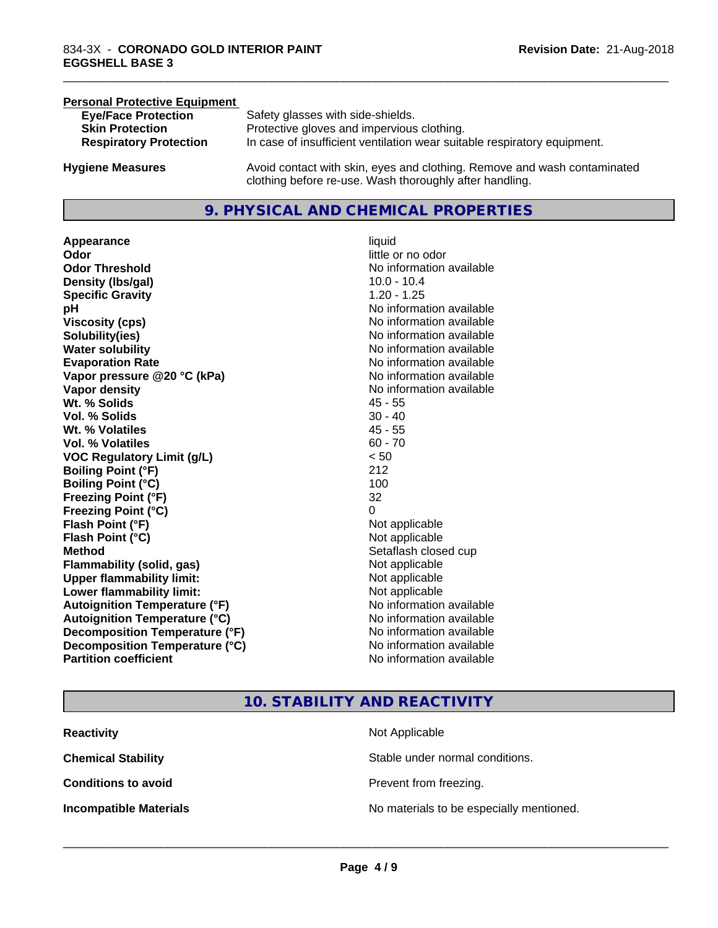# **Personal Protective Equipment**<br> **Eve/Face Protection Eye/Face Protection** Safety glasses with side-shields.<br> **Skin Protection** Protective gloves and impervious Protective gloves and impervious clothing. **Respiratory Protection** In case of insufficient ventilation wear suitable respiratory equipment. **Hygiene Measures** Avoid contact with skin, eyes and clothing. Remove and wash contaminated clothing before re-use. Wash thoroughly after handling.

# **9. PHYSICAL AND CHEMICAL PROPERTIES**

**Appearance** liquid **Odor**<br> **Odor Threshold**<br> **Odor Threshold**<br> **CODOR**<br> **CODOR**<br> **CODOR**<br> **CODOR**<br> **CODOR**<br> **CODOR**<br> **CODOR**<br> **CODOR**<br> **CODOR**<br> **CODOR Density (Ibs/gal)** 10.0 - 10.4 **Specific Gravity** 1.20 - 1.25 **pH pH**  $\blacksquare$ **Viscosity (cps)** No information available **Solubility(ies)** No information available **Water solubility** No information available **Evaporation Rate No information available No information available Vapor pressure @20 °C (kPa)** No information available **Vapor density No information available No information available Wt. % Solids** 45 - 55 **Vol. % Solids** 30 - 40 **Wt. % Volatiles** 45 - 55 **Vol. % Volatiles** 60 - 70 **VOC Regulatory Limit (g/L)** < 50 **Boiling Point (°F)** 212 **Boiling Point (°C)** 100 **Freezing Point (°F)** 32 **Freezing Point (°C)** 0 **Flash Point (°F)** Not applicable **Flash Point (°C)** Not applicable **Method** Setaflash closed cup **Flammability (solid, gas)** Not applicable **Upper flammability limit:** Not applicable **Lower flammability limit:** Not applicable **Autoignition Temperature (°F)** No information available **Autoignition Temperature (°C)** No information available **Decomposition Temperature (°F)**<br> **Decomposition Temperature (°C)** No information available **Decomposition Temperature (°C) Partition coefficient Contract Community No information available** 

# **No information available**

\_\_\_\_\_\_\_\_\_\_\_\_\_\_\_\_\_\_\_\_\_\_\_\_\_\_\_\_\_\_\_\_\_\_\_\_\_\_\_\_\_\_\_\_\_\_\_\_\_\_\_\_\_\_\_\_\_\_\_\_\_\_\_\_\_\_\_\_\_\_\_\_\_\_\_\_\_\_\_\_\_\_\_\_\_\_\_\_\_\_\_\_\_

# **10. STABILITY AND REACTIVITY**

| <b>Reactivity</b>             | Not Applicable                           |
|-------------------------------|------------------------------------------|
| <b>Chemical Stability</b>     | Stable under normal conditions.          |
| <b>Conditions to avoid</b>    | Prevent from freezing.                   |
| <b>Incompatible Materials</b> | No materials to be especially mentioned. |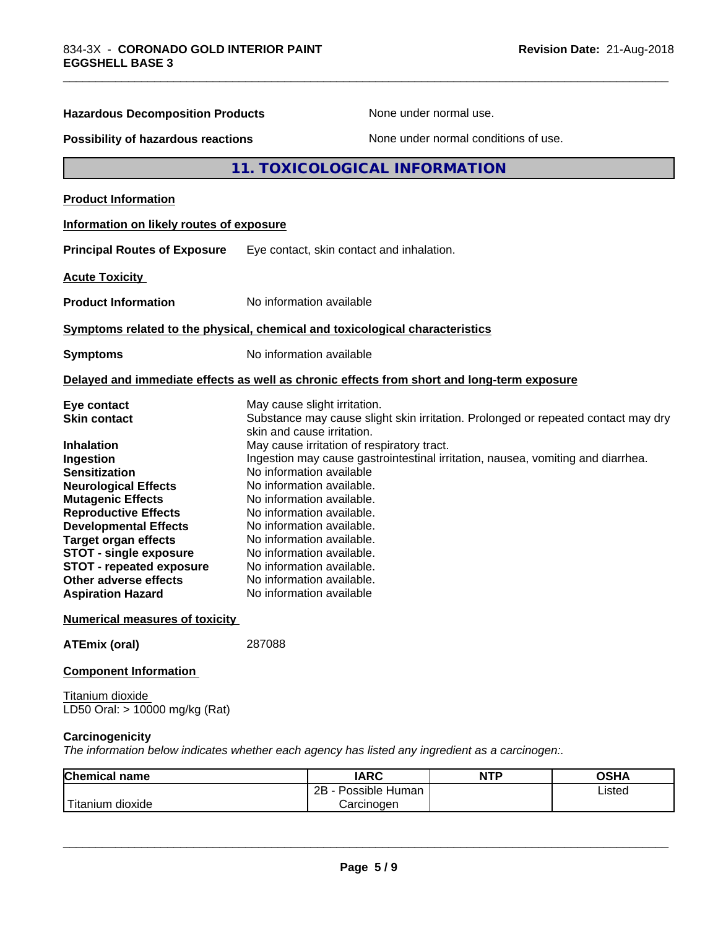| <b>Hazardous Decomposition Products</b><br>None under normal use.                                                                                                                                                                                                                                                                                                                                                |                          |                                                                                                                                                                                                                                                                                                                                                                                                                                                                                             |            |                                                                                   |  |
|------------------------------------------------------------------------------------------------------------------------------------------------------------------------------------------------------------------------------------------------------------------------------------------------------------------------------------------------------------------------------------------------------------------|--------------------------|---------------------------------------------------------------------------------------------------------------------------------------------------------------------------------------------------------------------------------------------------------------------------------------------------------------------------------------------------------------------------------------------------------------------------------------------------------------------------------------------|------------|-----------------------------------------------------------------------------------|--|
| None under normal conditions of use.<br>Possibility of hazardous reactions                                                                                                                                                                                                                                                                                                                                       |                          |                                                                                                                                                                                                                                                                                                                                                                                                                                                                                             |            |                                                                                   |  |
|                                                                                                                                                                                                                                                                                                                                                                                                                  |                          | 11. TOXICOLOGICAL INFORMATION                                                                                                                                                                                                                                                                                                                                                                                                                                                               |            |                                                                                   |  |
| <b>Product Information</b>                                                                                                                                                                                                                                                                                                                                                                                       |                          |                                                                                                                                                                                                                                                                                                                                                                                                                                                                                             |            |                                                                                   |  |
| Information on likely routes of exposure                                                                                                                                                                                                                                                                                                                                                                         |                          |                                                                                                                                                                                                                                                                                                                                                                                                                                                                                             |            |                                                                                   |  |
| <b>Principal Routes of Exposure</b>                                                                                                                                                                                                                                                                                                                                                                              |                          | Eye contact, skin contact and inhalation.                                                                                                                                                                                                                                                                                                                                                                                                                                                   |            |                                                                                   |  |
| <b>Acute Toxicity</b>                                                                                                                                                                                                                                                                                                                                                                                            |                          |                                                                                                                                                                                                                                                                                                                                                                                                                                                                                             |            |                                                                                   |  |
| <b>Product Information</b>                                                                                                                                                                                                                                                                                                                                                                                       |                          | No information available                                                                                                                                                                                                                                                                                                                                                                                                                                                                    |            |                                                                                   |  |
| Symptoms related to the physical, chemical and toxicological characteristics                                                                                                                                                                                                                                                                                                                                     |                          |                                                                                                                                                                                                                                                                                                                                                                                                                                                                                             |            |                                                                                   |  |
| <b>Symptoms</b>                                                                                                                                                                                                                                                                                                                                                                                                  | No information available |                                                                                                                                                                                                                                                                                                                                                                                                                                                                                             |            |                                                                                   |  |
| Delayed and immediate effects as well as chronic effects from short and long-term exposure                                                                                                                                                                                                                                                                                                                       |                          |                                                                                                                                                                                                                                                                                                                                                                                                                                                                                             |            |                                                                                   |  |
| Eye contact<br><b>Skin contact</b><br><b>Inhalation</b><br>Ingestion<br><b>Sensitization</b><br><b>Neurological Effects</b><br><b>Mutagenic Effects</b><br><b>Reproductive Effects</b><br><b>Developmental Effects</b><br><b>Target organ effects</b><br><b>STOT - single exposure</b><br>STOT - repeated exposure<br>Other adverse effects<br><b>Aspiration Hazard</b><br><b>Numerical measures of toxicity</b> |                          | May cause slight irritation.<br>skin and cause irritation.<br>May cause irritation of respiratory tract.<br>Ingestion may cause gastrointestinal irritation, nausea, vomiting and diarrhea.<br>No information available<br>No information available.<br>No information available.<br>No information available.<br>No information available.<br>No information available.<br>No information available.<br>No information available.<br>No information available.<br>No information available |            | Substance may cause slight skin irritation. Prolonged or repeated contact may dry |  |
| <b>ATEmix (oral)</b>                                                                                                                                                                                                                                                                                                                                                                                             | 287088                   |                                                                                                                                                                                                                                                                                                                                                                                                                                                                                             |            |                                                                                   |  |
| <b>Component Information</b>                                                                                                                                                                                                                                                                                                                                                                                     |                          |                                                                                                                                                                                                                                                                                                                                                                                                                                                                                             |            |                                                                                   |  |
| Titanium dioxide<br>LD50 Oral: > 10000 mg/kg (Rat)                                                                                                                                                                                                                                                                                                                                                               |                          |                                                                                                                                                                                                                                                                                                                                                                                                                                                                                             |            |                                                                                   |  |
| Carcinogenicity<br>The information below indicates whether each agency has listed any ingredient as a carcinogen:.                                                                                                                                                                                                                                                                                               |                          |                                                                                                                                                                                                                                                                                                                                                                                                                                                                                             |            |                                                                                   |  |
| Chemical name                                                                                                                                                                                                                                                                                                                                                                                                    |                          | <b>IARC</b>                                                                                                                                                                                                                                                                                                                                                                                                                                                                                 | <b>NTP</b> | <b>OSHA</b>                                                                       |  |
| Titanium dioxide                                                                                                                                                                                                                                                                                                                                                                                                 |                          | 2B - Possible Human<br>Carcinogen                                                                                                                                                                                                                                                                                                                                                                                                                                                           |            | Listed                                                                            |  |

\_\_\_\_\_\_\_\_\_\_\_\_\_\_\_\_\_\_\_\_\_\_\_\_\_\_\_\_\_\_\_\_\_\_\_\_\_\_\_\_\_\_\_\_\_\_\_\_\_\_\_\_\_\_\_\_\_\_\_\_\_\_\_\_\_\_\_\_\_\_\_\_\_\_\_\_\_\_\_\_\_\_\_\_\_\_\_\_\_\_\_\_\_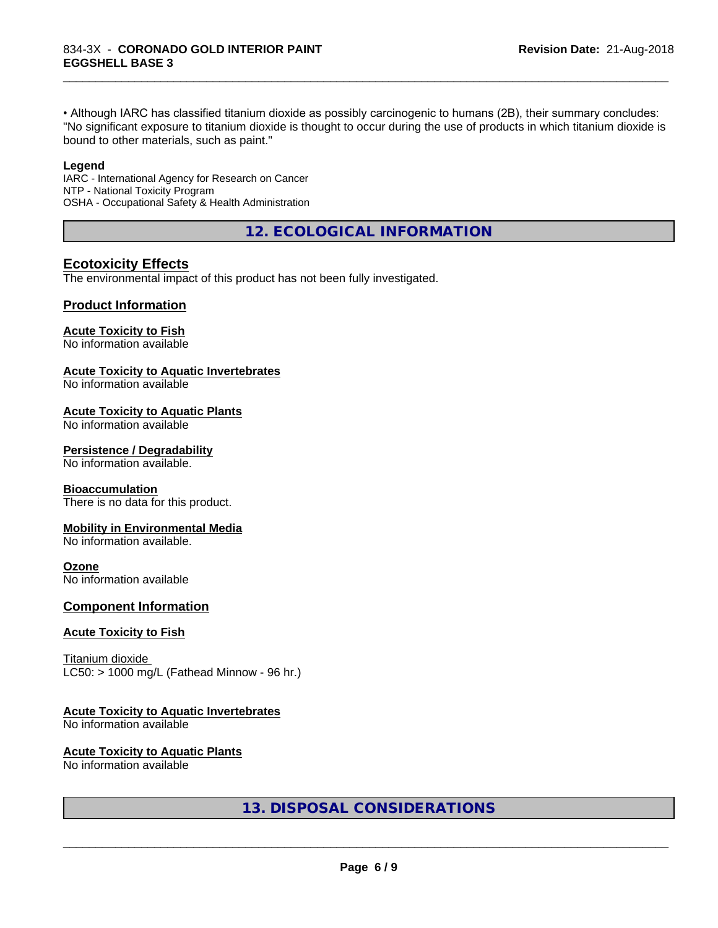• Although IARC has classified titanium dioxide as possibly carcinogenic to humans (2B), their summary concludes: "No significant exposure to titanium dioxide is thought to occur during the use of products in which titanium dioxide is bound to other materials, such as paint."

\_\_\_\_\_\_\_\_\_\_\_\_\_\_\_\_\_\_\_\_\_\_\_\_\_\_\_\_\_\_\_\_\_\_\_\_\_\_\_\_\_\_\_\_\_\_\_\_\_\_\_\_\_\_\_\_\_\_\_\_\_\_\_\_\_\_\_\_\_\_\_\_\_\_\_\_\_\_\_\_\_\_\_\_\_\_\_\_\_\_\_\_\_

#### **Legend**

IARC - International Agency for Research on Cancer NTP - National Toxicity Program OSHA - Occupational Safety & Health Administration

**12. ECOLOGICAL INFORMATION**

# **Ecotoxicity Effects**

The environmental impact of this product has not been fully investigated.

# **Product Information**

#### **Acute Toxicity to Fish**

No information available

#### **Acute Toxicity to Aquatic Invertebrates**

No information available

#### **Acute Toxicity to Aquatic Plants**

No information available

#### **Persistence / Degradability**

No information available.

#### **Bioaccumulation**

There is no data for this product.

#### **Mobility in Environmental Media**

No information available.

#### **Ozone**

No information available

#### **Component Information**

#### **Acute Toxicity to Fish**

Titanium dioxide  $LC50:$  > 1000 mg/L (Fathead Minnow - 96 hr.)

# **Acute Toxicity to Aquatic Invertebrates**

No information available

# **Acute Toxicity to Aquatic Plants**

No information available

# **13. DISPOSAL CONSIDERATIONS**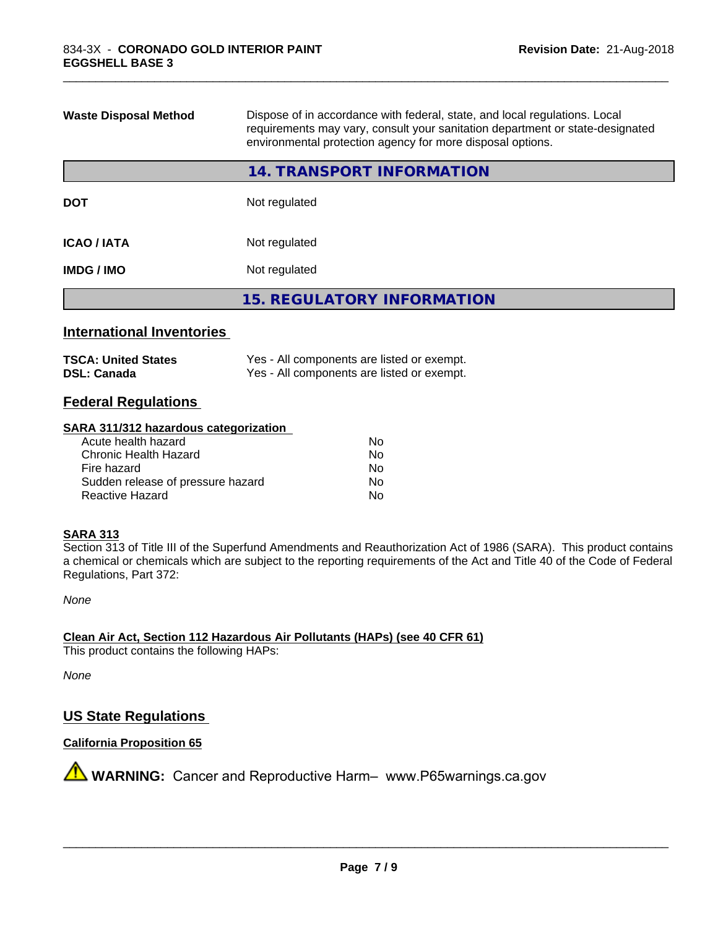| Dispose of in accordance with federal, state, and local regulations. Local<br><b>Waste Disposal Method</b><br>requirements may vary, consult your sanitation department or state-designated<br>environmental protection agency for more disposal options. |                                   |  |
|-----------------------------------------------------------------------------------------------------------------------------------------------------------------------------------------------------------------------------------------------------------|-----------------------------------|--|
|                                                                                                                                                                                                                                                           | 14. TRANSPORT INFORMATION         |  |
| <b>DOT</b>                                                                                                                                                                                                                                                | Not regulated                     |  |
| <b>ICAO/IATA</b>                                                                                                                                                                                                                                          | Not regulated                     |  |
| <b>IMDG / IMO</b>                                                                                                                                                                                                                                         | Not regulated                     |  |
|                                                                                                                                                                                                                                                           | <b>15. REGULATORY INFORMATION</b> |  |
|                                                                                                                                                                                                                                                           |                                   |  |

\_\_\_\_\_\_\_\_\_\_\_\_\_\_\_\_\_\_\_\_\_\_\_\_\_\_\_\_\_\_\_\_\_\_\_\_\_\_\_\_\_\_\_\_\_\_\_\_\_\_\_\_\_\_\_\_\_\_\_\_\_\_\_\_\_\_\_\_\_\_\_\_\_\_\_\_\_\_\_\_\_\_\_\_\_\_\_\_\_\_\_\_\_

# **International Inventories**

| <b>TSCA: United States</b> | Yes - All components are listed or exempt. |
|----------------------------|--------------------------------------------|
| <b>DSL: Canada</b>         | Yes - All components are listed or exempt. |

# **Federal Regulations**

#### **SARA 311/312 hazardous categorization**

| Acute health hazard               | No |  |
|-----------------------------------|----|--|
| Chronic Health Hazard             | Nο |  |
| Fire hazard                       | N٥ |  |
| Sudden release of pressure hazard | N٥ |  |
| Reactive Hazard                   | Nο |  |

#### **SARA 313**

Section 313 of Title III of the Superfund Amendments and Reauthorization Act of 1986 (SARA). This product contains a chemical or chemicals which are subject to the reporting requirements of the Act and Title 40 of the Code of Federal Regulations, Part 372:

*None*

**Clean Air Act,Section 112 Hazardous Air Pollutants (HAPs) (see 40 CFR 61)**

This product contains the following HAPs:

*None*

# **US State Regulations**

# **California Proposition 65**

**A** WARNING: Cancer and Reproductive Harm– www.P65warnings.ca.gov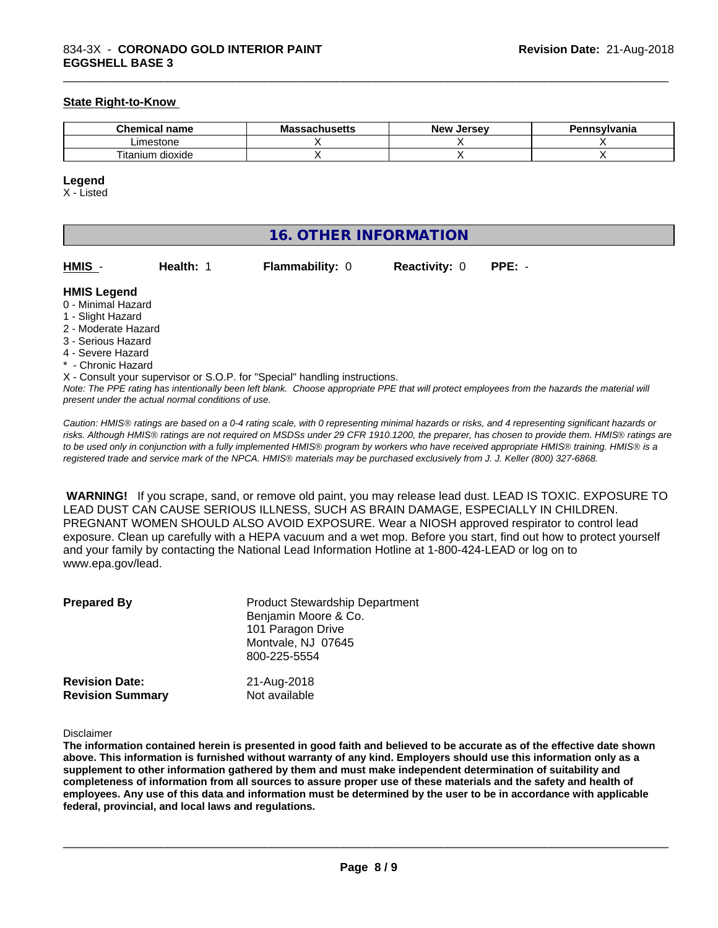#### **State Right-to-Know**

| $\sim$<br>hemical name<br>- - -      | ^ <u>___</u> ^___<br>Мô<br>,,,,,,,,,,, | . Jersev<br><b>Nev</b> | Pennsvlvania |
|--------------------------------------|----------------------------------------|------------------------|--------------|
| Limestone                            |                                        |                        |              |
| $- \cdot$ .<br>dioxide<br>l itanium. |                                        |                        |              |

\_\_\_\_\_\_\_\_\_\_\_\_\_\_\_\_\_\_\_\_\_\_\_\_\_\_\_\_\_\_\_\_\_\_\_\_\_\_\_\_\_\_\_\_\_\_\_\_\_\_\_\_\_\_\_\_\_\_\_\_\_\_\_\_\_\_\_\_\_\_\_\_\_\_\_\_\_\_\_\_\_\_\_\_\_\_\_\_\_\_\_\_\_

#### **Legend**

X - Listed

| 16. OTHER INFORMATION |                                                    |                                                                            |                      |                                                                                                                                               |  |
|-----------------------|----------------------------------------------------|----------------------------------------------------------------------------|----------------------|-----------------------------------------------------------------------------------------------------------------------------------------------|--|
| HMIS -                | Health: 1                                          | <b>Flammability: 0</b>                                                     | <b>Reactivity: 0</b> | $PPE: -$                                                                                                                                      |  |
| <b>HMIS Legend</b>    |                                                    |                                                                            |                      |                                                                                                                                               |  |
| 0 - Minimal Hazard    |                                                    |                                                                            |                      |                                                                                                                                               |  |
| 1 - Slight Hazard     |                                                    |                                                                            |                      |                                                                                                                                               |  |
| 2 - Moderate Hazard   |                                                    |                                                                            |                      |                                                                                                                                               |  |
| 3 - Serious Hazard    |                                                    |                                                                            |                      |                                                                                                                                               |  |
| 4 - Severe Hazard     |                                                    |                                                                            |                      |                                                                                                                                               |  |
| * - Chronic Hazard    |                                                    |                                                                            |                      |                                                                                                                                               |  |
|                       |                                                    | X - Consult your supervisor or S.O.P. for "Special" handling instructions. |                      |                                                                                                                                               |  |
|                       |                                                    |                                                                            |                      | Note: The PPE rating has intentionally been left blank. Choose appropriate PPE that will protect employees from the hazards the material will |  |
|                       | present under the actual normal conditions of use. |                                                                            |                      |                                                                                                                                               |  |

*Caution: HMISÒ ratings are based on a 0-4 rating scale, with 0 representing minimal hazards or risks, and 4 representing significant hazards or risks. Although HMISÒ ratings are not required on MSDSs under 29 CFR 1910.1200, the preparer, has chosen to provide them. HMISÒ ratings are to be used only in conjunction with a fully implemented HMISÒ program by workers who have received appropriate HMISÒ training. HMISÒ is a registered trade and service mark of the NPCA. HMISÒ materials may be purchased exclusively from J. J. Keller (800) 327-6868.*

 **WARNING!** If you scrape, sand, or remove old paint, you may release lead dust. LEAD IS TOXIC. EXPOSURE TO LEAD DUST CAN CAUSE SERIOUS ILLNESS, SUCH AS BRAIN DAMAGE, ESPECIALLY IN CHILDREN. PREGNANT WOMEN SHOULD ALSO AVOID EXPOSURE.Wear a NIOSH approved respirator to control lead exposure. Clean up carefully with a HEPA vacuum and a wet mop. Before you start, find out how to protect yourself and your family by contacting the National Lead Information Hotline at 1-800-424-LEAD or log on to www.epa.gov/lead.

| <b>Prepared By</b>      | <b>Product Stewardship Department</b><br>Benjamin Moore & Co.<br>101 Paragon Drive<br>Montvale, NJ 07645<br>800-225-5554 |
|-------------------------|--------------------------------------------------------------------------------------------------------------------------|
| <b>Revision Date:</b>   | 21-Aug-2018                                                                                                              |
| <b>Revision Summary</b> | Not available                                                                                                            |

Disclaimer

The information contained herein is presented in good faith and believed to be accurate as of the effective date shown above. This information is furnished without warranty of any kind. Employers should use this information only as a **supplement to other information gathered by them and must make independent determination of suitability and** completeness of information from all sources to assure proper use of these materials and the safety and health of employees. Any use of this data and information must be determined by the user to be in accordance with applicable **federal, provincial, and local laws and regulations.**